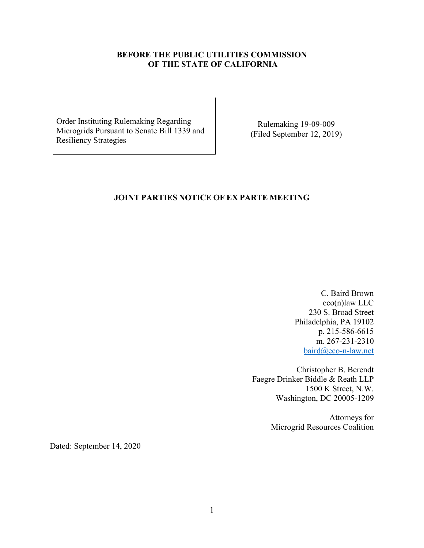## **BEFORE THE PUBLIC UTILITIES COMMISSION OF THE STATE OF CALIFORNIA**

Order Instituting Rulemaking Regarding Microgrids Pursuant to Senate Bill 1339 and Resiliency Strategies

Rulemaking 19-09-009 (Filed September 12, 2019)

## **JOINT PARTIES NOTICE OF EX PARTE MEETING**

C. Baird Brown eco(n)law LLC 230 S. Broad Street Philadelphia, PA 19102 p. 215-586-6615 m. 267-231-2310 [baird@eco-n-law.net](mailto:baird@eco-n-law.net)

Christopher B. Berendt Faegre Drinker Biddle & Reath LLP 1500 K Street, N.W. Washington, DC 20005-1209

> Attorneys for Microgrid Resources Coalition

Dated: September 14, 2020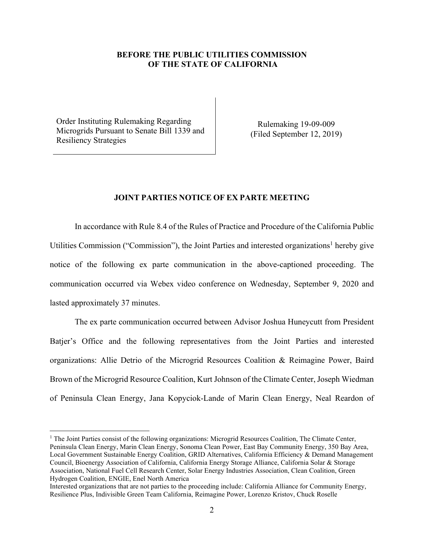## **BEFORE THE PUBLIC UTILITIES COMMISSION OF THE STATE OF CALIFORNIA**

Order Instituting Rulemaking Regarding Microgrids Pursuant to Senate Bill 1339 and Resiliency Strategies

Rulemaking 19-09-009 (Filed September 12, 2019)

## **JOINT PARTIES NOTICE OF EX PARTE MEETING**

In accordance with Rule 8.4 of the Rules of Practice and Procedure of the California Public Utilities Commission ("Commission"), the Joint Parties and interested organizations<sup>1</sup> hereby give notice of the following ex parte communication in the above-captioned proceeding. The communication occurred via Webex video conference on Wednesday, September 9, 2020 and lasted approximately 37 minutes.

The ex parte communication occurred between Advisor Joshua Huneycutt from President Batjer's Office and the following representatives from the Joint Parties and interested organizations: Allie Detrio of the Microgrid Resources Coalition & Reimagine Power, Baird Brown of the Microgrid Resource Coalition, Kurt Johnson of the Climate Center, Joseph Wiedman of Peninsula Clean Energy, Jana Kopyciok-Lande of Marin Clean Energy, Neal Reardon of

<sup>&</sup>lt;sup>1</sup> The Joint Parties consist of the following organizations: Microgrid Resources Coalition, The Climate Center, Peninsula Clean Energy, Marin Clean Energy, Sonoma Clean Power, East Bay Community Energy, 350 Bay Area, Local Government Sustainable Energy Coalition, GRID Alternatives, California Efficiency & Demand Management Council, Bioenergy Association of California, California Energy Storage Alliance, California Solar & Storage Association, National Fuel Cell Research Center, Solar Energy Industries Association, Clean Coalition, Green Hydrogen Coalition, ENGIE, Enel North America

Interested organizations that are not parties to the proceeding include: California Alliance for Community Energy, Resilience Plus, Indivisible Green Team California, Reimagine Power, Lorenzo Kristov, Chuck Roselle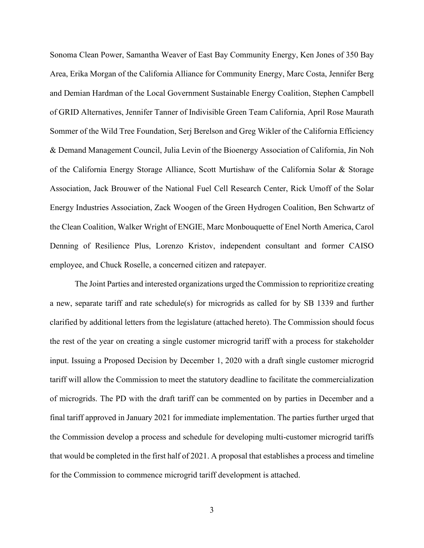Sonoma Clean Power, Samantha Weaver of East Bay Community Energy, Ken Jones of 350 Bay Area, Erika Morgan of the California Alliance for Community Energy, Marc Costa, Jennifer Berg and Demian Hardman of the Local Government Sustainable Energy Coalition, Stephen Campbell of GRID Alternatives, Jennifer Tanner of Indivisible Green Team California, April Rose Maurath Sommer of the Wild Tree Foundation, Serj Berelson and Greg Wikler of the California Efficiency & Demand Management Council, Julia Levin of the Bioenergy Association of California, Jin Noh of the California Energy Storage Alliance, Scott Murtishaw of the California Solar & Storage Association, Jack Brouwer of the National Fuel Cell Research Center, Rick Umoff of the Solar Energy Industries Association, Zack Woogen of the Green Hydrogen Coalition, Ben Schwartz of the Clean Coalition, Walker Wright of ENGIE, Marc Monbouquette of Enel North America, Carol Denning of Resilience Plus, Lorenzo Kristov, independent consultant and former CAISO employee, and Chuck Roselle, a concerned citizen and ratepayer.

The Joint Parties and interested organizations urged the Commission to reprioritize creating a new, separate tariff and rate schedule(s) for microgrids as called for by SB 1339 and further clarified by additional letters from the legislature (attached hereto). The Commission should focus the rest of the year on creating a single customer microgrid tariff with a process for stakeholder input. Issuing a Proposed Decision by December 1, 2020 with a draft single customer microgrid tariff will allow the Commission to meet the statutory deadline to facilitate the commercialization of microgrids. The PD with the draft tariff can be commented on by parties in December and a final tariff approved in January 2021 for immediate implementation. The parties further urged that the Commission develop a process and schedule for developing multi-customer microgrid tariffs that would be completed in the first half of 2021. A proposal that establishes a process and timeline for the Commission to commence microgrid tariff development is attached.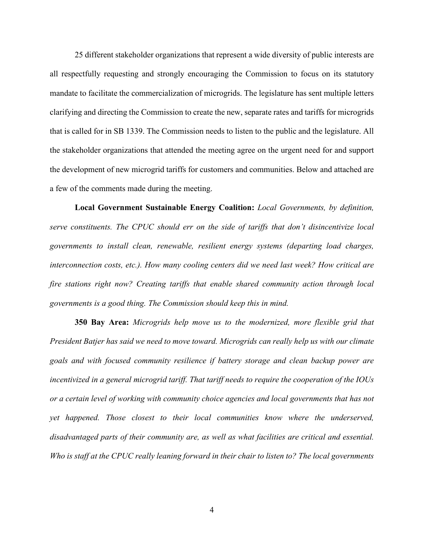25 different stakeholder organizations that represent a wide diversity of public interests are all respectfully requesting and strongly encouraging the Commission to focus on its statutory mandate to facilitate the commercialization of microgrids. The legislature has sent multiple letters clarifying and directing the Commission to create the new, separate rates and tariffs for microgrids that is called for in SB 1339. The Commission needs to listen to the public and the legislature. All the stakeholder organizations that attended the meeting agree on the urgent need for and support the development of new microgrid tariffs for customers and communities. Below and attached are a few of the comments made during the meeting.

**Local Government Sustainable Energy Coalition:** *Local Governments, by definition, serve constituents. The CPUC should err on the side of tariffs that don't disincentivize local governments to install clean, renewable, resilient energy systems (departing load charges, interconnection costs, etc.). How many cooling centers did we need last week? How critical are fire stations right now? Creating tariffs that enable shared community action through local governments is a good thing. The Commission should keep this in mind.*

**350 Bay Area:** *Microgrids help move us to the modernized, more flexible grid that President Batjer has said we need to move toward. Microgrids can really help us with our climate goals and with focused community resilience if battery storage and clean backup power are incentivized in a general microgrid tariff. That tariff needs to require the cooperation of the IOUs or a certain level of working with community choice agencies and local governments that has not yet happened. Those closest to their local communities know where the underserved, disadvantaged parts of their community are, as well as what facilities are critical and essential. Who is staff at the CPUC really leaning forward in their chair to listen to? The local governments*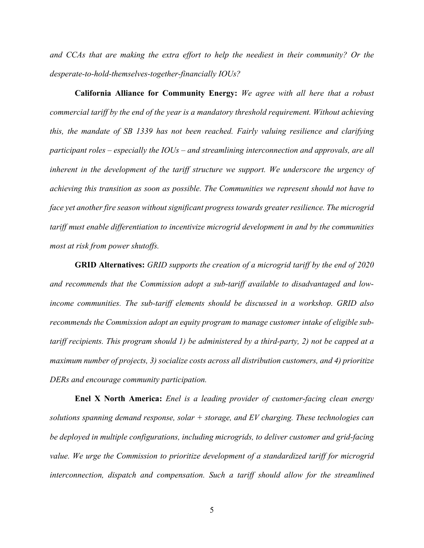*and CCAs that are making the extra effort to help the neediest in their community? Or the desperate-to-hold-themselves-together-financially IOUs?*

**California Alliance for Community Energy:** *We agree with all here that a robust commercial tariff by the end of the year is a mandatory threshold requirement. Without achieving this, the mandate of SB 1339 has not been reached. Fairly valuing resilience and clarifying participant roles – especially the IOUs – and streamlining interconnection and approvals, are all inherent in the development of the tariff structure we support. We underscore the urgency of achieving this transition as soon as possible. The Communities we represent should not have to face yet another fire season without significant progress towards greater resilience. The microgrid tariff must enable differentiation to incentivize microgrid development in and by the communities most at risk from power shutoffs.*

**GRID Alternatives:** *GRID supports the creation of a microgrid tariff by the end of 2020 and recommends that the Commission adopt a sub-tariff available to disadvantaged and lowincome communities. The sub-tariff elements should be discussed in a workshop. GRID also recommends the Commission adopt an equity program to manage customer intake of eligible subtariff recipients. This program should 1) be administered by a third-party, 2) not be capped at a maximum number of projects, 3) socialize costs across all distribution customers, and 4) prioritize DERs and encourage community participation.*

**Enel X North America:** *Enel is a leading provider of customer-facing clean energy solutions spanning demand response, solar + storage, and EV charging. These technologies can be deployed in multiple configurations, including microgrids, to deliver customer and grid-facing value. We urge the Commission to prioritize development of a standardized tariff for microgrid interconnection, dispatch and compensation. Such a tariff should allow for the streamlined*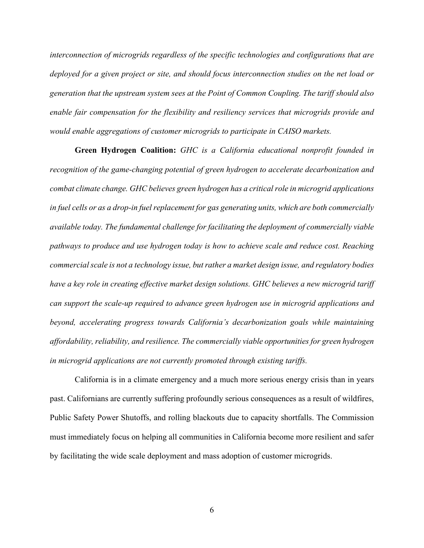*interconnection of microgrids regardless of the specific technologies and configurations that are deployed for a given project or site, and should focus interconnection studies on the net load or generation that the upstream system sees at the Point of Common Coupling. The tariff should also enable fair compensation for the flexibility and resiliency services that microgrids provide and would enable aggregations of customer microgrids to participate in CAISO markets.*

**Green Hydrogen Coalition:** *GHC is a California educational nonprofit founded in recognition of the game-changing potential of green hydrogen to accelerate decarbonization and combat climate change. GHC believes green hydrogen has a criticalrole in microgrid applications in fuel cells or as a drop-in fuel replacement for gas generating units, which are both commercially available today. The fundamental challenge for facilitating the deployment of commercially viable pathways to produce and use hydrogen today is how to achieve scale and reduce cost. Reaching commercial scale is not a technology issue, butrather a market design issue, and regulatory bodies have a key role in creating effective market design solutions. GHC believes a new microgrid tariff can support the scale-up required to advance green hydrogen use in microgrid applications and beyond, accelerating progress towards California's decarbonization goals while maintaining affordability, reliability, and resilience. The commercially viable opportunities for green hydrogen in microgrid applications are not currently promoted through existing tariffs.*

California is in a climate emergency and a much more serious energy crisis than in years past. Californians are currently suffering profoundly serious consequences as a result of wildfires, Public Safety Power Shutoffs, and rolling blackouts due to capacity shortfalls. The Commission must immediately focus on helping all communities in California become more resilient and safer by facilitating the wide scale deployment and mass adoption of customer microgrids.

6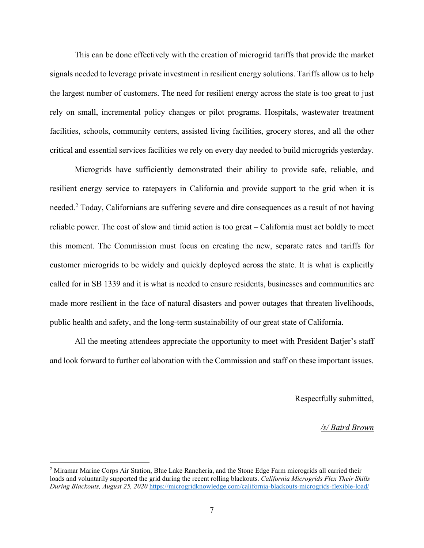This can be done effectively with the creation of microgrid tariffs that provide the market signals needed to leverage private investment in resilient energy solutions. Tariffs allow us to help the largest number of customers. The need for resilient energy across the state is too great to just rely on small, incremental policy changes or pilot programs. Hospitals, wastewater treatment facilities, schools, community centers, assisted living facilities, grocery stores, and all the other critical and essential services facilities we rely on every day needed to build microgrids yesterday.

Microgrids have sufficiently demonstrated their ability to provide safe, reliable, and resilient energy service to ratepayers in California and provide support to the grid when it is needed.<sup>2</sup> Today, Californians are suffering severe and dire consequences as a result of not having reliable power. The cost of slow and timid action is too great – California must act boldly to meet this moment. The Commission must focus on creating the new, separate rates and tariffs for customer microgrids to be widely and quickly deployed across the state. It is what is explicitly called for in SB 1339 and it is what is needed to ensure residents, businesses and communities are made more resilient in the face of natural disasters and power outages that threaten livelihoods, public health and safety, and the long-term sustainability of our great state of California.

All the meeting attendees appreciate the opportunity to meet with President Batjer's staff and look forward to further collaboration with the Commission and staff on these important issues.

Respectfully submitted,

*/s/ Baird Brown*

<sup>&</sup>lt;sup>2</sup> Miramar Marine Corps Air Station, Blue Lake Rancheria, and the Stone Edge Farm microgrids all carried their loads and voluntarily supported the grid during the recent rolling blackouts. *California Microgrids Flex Their Skills During Blackouts, August 25, 2020* <https://microgridknowledge.com/california-blackouts-microgrids-flexible-load/>